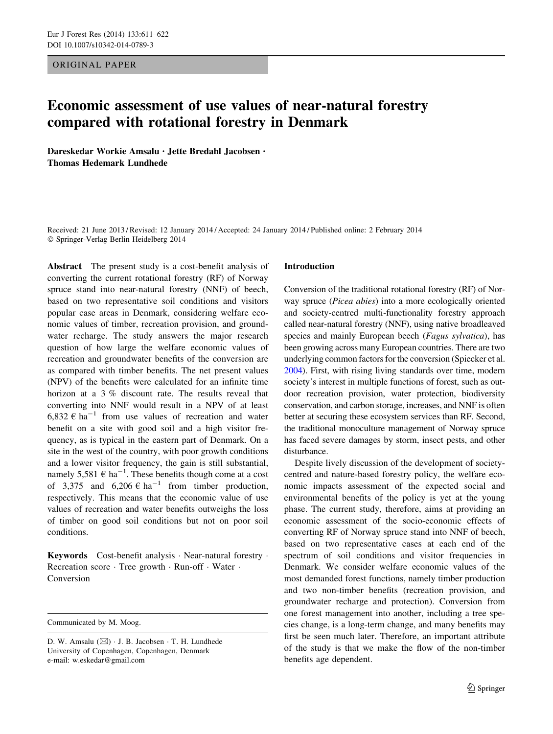ORIGINAL PAPER

# Economic assessment of use values of near-natural forestry compared with rotational forestry in Denmark

Dareskedar Workie Amsalu • Jette Bredahl Jacobsen • Thomas Hedemark Lundhede

Received: 21 June 2013 / Revised: 12 January 2014 / Accepted: 24 January 2014 / Published online: 2 February 2014 - Springer-Verlag Berlin Heidelberg 2014

Abstract The present study is a cost-benefit analysis of converting the current rotational forestry (RF) of Norway spruce stand into near-natural forestry (NNF) of beech, based on two representative soil conditions and visitors popular case areas in Denmark, considering welfare economic values of timber, recreation provision, and groundwater recharge. The study answers the major research question of how large the welfare economic values of recreation and groundwater benefits of the conversion are as compared with timber benefits. The net present values (NPV) of the benefits were calculated for an infinite time horizon at a 3 % discount rate. The results reveal that converting into NNF would result in a NPV of at least 6,832  $\epsilon$  ha<sup>-1</sup> from use values of recreation and water benefit on a site with good soil and a high visitor frequency, as is typical in the eastern part of Denmark. On a site in the west of the country, with poor growth conditions and a lower visitor frequency, the gain is still substantial, namely 5,581  $\epsilon$  ha<sup>-1</sup>. These benefits though come at a cost of 3,375 and  $6,206 \in ha^{-1}$  from timber production, respectively. This means that the economic value of use values of recreation and water benefits outweighs the loss of timber on good soil conditions but not on poor soil conditions.

Keywords Cost-benefit analysis · Near-natural forestry · Recreation score · Tree growth · Run-off · Water · Conversion

Communicated by M. Moog.

#### Introduction

Conversion of the traditional rotational forestry (RF) of Norway spruce (Picea abies) into a more ecologically oriented and society-centred multi-functionality forestry approach called near-natural forestry (NNF), using native broadleaved species and mainly European beech (Fagus sylvatica), has been growing across many European countries. There are two underlying common factors for the conversion (Spiecker et al. [2004\)](#page-11-0). First, with rising living standards over time, modern society's interest in multiple functions of forest, such as outdoor recreation provision, water protection, biodiversity conservation, and carbon storage, increases, and NNF is often better at securing these ecosystem services than RF. Second, the traditional monoculture management of Norway spruce has faced severe damages by storm, insect pests, and other disturbance.

Despite lively discussion of the development of societycentred and nature-based forestry policy, the welfare economic impacts assessment of the expected social and environmental benefits of the policy is yet at the young phase. The current study, therefore, aims at providing an economic assessment of the socio-economic effects of converting RF of Norway spruce stand into NNF of beech, based on two representative cases at each end of the spectrum of soil conditions and visitor frequencies in Denmark. We consider welfare economic values of the most demanded forest functions, namely timber production and two non-timber benefits (recreation provision, and groundwater recharge and protection). Conversion from one forest management into another, including a tree species change, is a long-term change, and many benefits may first be seen much later. Therefore, an important attribute of the study is that we make the flow of the non-timber benefits age dependent.

D. W. Amsalu  $(\boxtimes) \cdot$  J. B. Jacobsen  $\cdot$  T. H. Lundhede University of Copenhagen, Copenhagen, Denmark e-mail: w.eskedar@gmail.com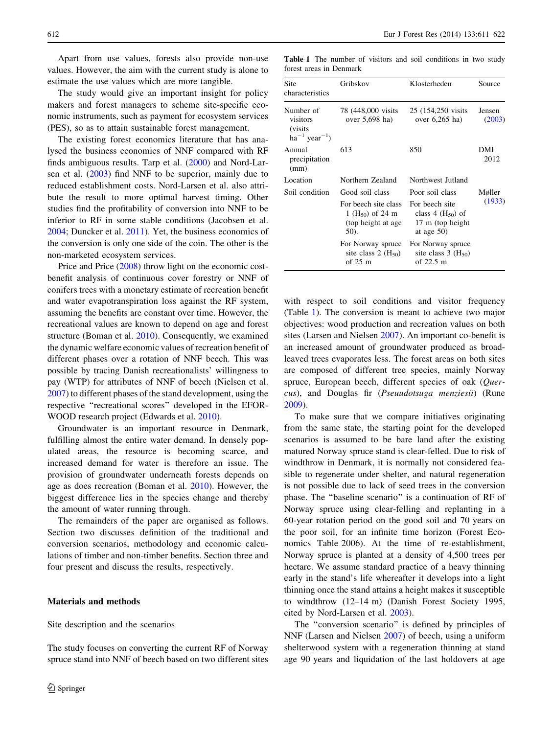Apart from use values, forests also provide non-use values. However, the aim with the current study is alone to estimate the use values which are more tangible.

The study would give an important insight for policy makers and forest managers to scheme site-specific economic instruments, such as payment for ecosystem services (PES), so as to attain sustainable forest management.

The existing forest economics literature that has analysed the business economics of NNF compared with RF finds ambiguous results. Tarp et al. [\(2000](#page-11-0)) and Nord-Larsen et al. [\(2003](#page-11-0)) find NNF to be superior, mainly due to reduced establishment costs. Nord-Larsen et al. also attribute the result to more optimal harvest timing. Other studies find the profitability of conversion into NNF to be inferior to RF in some stable conditions (Jacobsen et al. [2004;](#page-11-0) Duncker et al. [2011\)](#page-11-0). Yet, the business economics of the conversion is only one side of the coin. The other is the non-marketed ecosystem services.

Price and Price ([2008\)](#page-11-0) throw light on the economic costbenefit analysis of continuous cover forestry or NNF of conifers trees with a monetary estimate of recreation benefit and water evapotranspiration loss against the RF system, assuming the benefits are constant over time. However, the recreational values are known to depend on age and forest structure (Boman et al. [2010\)](#page-11-0). Consequently, we examined the dynamic welfare economic values of recreation benefit of different phases over a rotation of NNF beech. This was possible by tracing Danish recreationalists' willingness to pay (WTP) for attributes of NNF of beech (Nielsen et al. [2007\)](#page-11-0) to different phases of the stand development, using the respective ''recreational scores'' developed in the EFOR-WOOD research project (Edwards et al. [2010](#page-11-0)).

Groundwater is an important resource in Denmark, fulfilling almost the entire water demand. In densely populated areas, the resource is becoming scarce, and increased demand for water is therefore an issue. The provision of groundwater underneath forests depends on age as does recreation (Boman et al. [2010](#page-11-0)). However, the biggest difference lies in the species change and thereby the amount of water running through.

The remainders of the paper are organised as follows. Section two discusses definition of the traditional and conversion scenarios, methodology and economic calculations of timber and non-timber benefits. Section three and four present and discuss the results, respectively.

# Materials and methods

Site description and the scenarios

The study focuses on converting the current RF of Norway spruce stand into NNF of beech based on two different sites

Table 1 The number of visitors and soil conditions in two study forest areas in Denmark

| Site<br>characteristics                                                    | Gribskov                                                                                               | Klosterheden                                                                                     | Source           |
|----------------------------------------------------------------------------|--------------------------------------------------------------------------------------------------------|--------------------------------------------------------------------------------------------------|------------------|
| Number of<br>visitors<br><i>(visits)</i><br>$ha^{-1}$ year <sup>-1</sup> ) | 78 (448,000 visits)<br>over 5,698 ha)                                                                  | 25 (154,250 visits)<br>over $6,265$ ha)                                                          | Jensen<br>(2003) |
| Annual<br>precipitation<br>(mm)                                            | 613                                                                                                    | 850                                                                                              | DMI<br>2012      |
| Location                                                                   | Northern Zealand                                                                                       | Northwest Jutland                                                                                |                  |
| Soil condition                                                             | Good soil class<br>For beech site class<br>1 (H <sub>50</sub> ) of 24 m<br>(top height at age)<br>50). | Poor soil class<br>For beech site<br>class 4 $(H_{50})$ of<br>17 m (top height)<br>at age $50$ ) | Møller<br>(1933) |
|                                                                            | For Norway spruce<br>site class 2 $(H_{50})$<br>of $25 \text{ m}$                                      | For Norway spruce<br>site class $3 \text{ (H}_5)$<br>of 22.5 m                                   |                  |

with respect to soil conditions and visitor frequency (Table 1). The conversion is meant to achieve two major objectives: wood production and recreation values on both sites (Larsen and Nielsen [2007](#page-11-0)). An important co-benefit is an increased amount of groundwater produced as broadleaved trees evaporates less. The forest areas on both sites are composed of different tree species, mainly Norway spruce, European beech, different species of oak (Ouercus), and Douglas fir (Pseuudotsuga menziesii) (Rune [2009](#page-11-0)).

To make sure that we compare initiatives originating from the same state, the starting point for the developed scenarios is assumed to be bare land after the existing matured Norway spruce stand is clear-felled. Due to risk of windthrow in Denmark, it is normally not considered feasible to regenerate under shelter, and natural regeneration is not possible due to lack of seed trees in the conversion phase. The ''baseline scenario'' is a continuation of RF of Norway spruce using clear-felling and replanting in a 60-year rotation period on the good soil and 70 years on the poor soil, for an infinite time horizon (Forest Economics Table 2006). At the time of re-establishment, Norway spruce is planted at a density of 4,500 trees per hectare. We assume standard practice of a heavy thinning early in the stand's life whereafter it develops into a light thinning once the stand attains a height makes it susceptible to windthrow (12–14 m) (Danish Forest Society 1995, cited by Nord-Larsen et al. [2003](#page-11-0)).

The "conversion scenario" is defined by principles of NNF (Larsen and Nielsen [2007](#page-11-0)) of beech, using a uniform shelterwood system with a regeneration thinning at stand age 90 years and liquidation of the last holdovers at age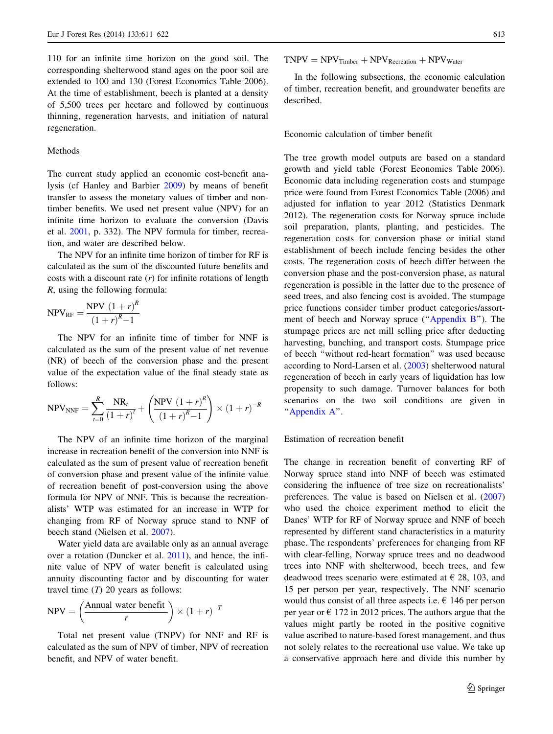<span id="page-2-0"></span>110 for an infinite time horizon on the good soil. The corresponding shelterwood stand ages on the poor soil are extended to 100 and 130 (Forest Economics Table 2006). At the time of establishment, beech is planted at a density of 5,500 trees per hectare and followed by continuous thinning, regeneration harvests, and initiation of natural regeneration.

## Methods

The current study applied an economic cost-benefit analysis (cf Hanley and Barbier [2009](#page-11-0)) by means of benefit transfer to assess the monetary values of timber and nontimber benefits. We used net present value (NPV) for an infinite time horizon to evaluate the conversion (Davis et al. [2001](#page-11-0), p. 332). The NPV formula for timber, recreation, and water are described below.

The NPV for an infinite time horizon of timber for RF is calculated as the sum of the discounted future benefits and costs with a discount rate  $(r)$  for infinite rotations of length R, using the following formula:

$$
NPV_{RF} = \frac{NPV (1+r)^{R}}{(1+r)^{R}-1}
$$

The NPV for an infinite time of timber for NNF is calculated as the sum of the present value of net revenue (NR) of beech of the conversion phase and the present value of the expectation value of the final steady state as follows:

$$
NPV_{NNF} = \sum_{t=0}^{R} \frac{NR_t}{(1+r)^t} + \left(\frac{NPV(1+r)^R}{(1+r)^R - 1}\right) \times (1+r)^{-R}
$$

The NPV of an infinite time horizon of the marginal increase in recreation benefit of the conversion into NNF is calculated as the sum of present value of recreation benefit of conversion phase and present value of the infinite value of recreation benefit of post-conversion using the above formula for NPV of NNF. This is because the recreationalists' WTP was estimated for an increase in WTP for changing from RF of Norway spruce stand to NNF of beech stand (Nielsen et al. [2007](#page-11-0)).

Water yield data are available only as an annual average over a rotation (Duncker et al. [2011](#page-11-0)), and hence, the infinite value of NPV of water benefit is calculated using annuity discounting factor and by discounting for water travel time  $(T)$  20 years as follows:

$$
NPV = \left(\frac{\text{Annual water benefit}}{r}\right) \times \left(1 + r\right)^{-T}
$$

Total net present value (TNPV) for NNF and RF is calculated as the sum of NPV of timber, NPV of recreation benefit, and NPV of water benefit.

 $TNPV = NPV<sub>Timeer</sub> + NPV<sub>Recreation</sub> + NPV<sub>Water</sub>$ 

In the following subsections, the economic calculation of timber, recreation benefit, and groundwater benefits are described.

Economic calculation of timber benefit

The tree growth model outputs are based on a standard growth and yield table (Forest Economics Table 2006). Economic data including regeneration costs and stumpage price were found from Forest Economics Table (2006) and adjusted for inflation to year 2012 (Statistics Denmark 2012). The regeneration costs for Norway spruce include soil preparation, plants, planting, and pesticides. The regeneration costs for conversion phase or initial stand establishment of beech include fencing besides the other costs. The regeneration costs of beech differ between the conversion phase and the post-conversion phase, as natural regeneration is possible in the latter due to the presence of seed trees, and also fencing cost is avoided. The stumpage price functions consider timber product categories/assortment of beech and Norway spruce ("Appendix B"). The stumpage prices are net mill selling price after deducting harvesting, bunching, and transport costs. Stumpage price of beech ''without red-heart formation'' was used because according to Nord-Larsen et al. ([2003\)](#page-11-0) shelterwood natural regeneration of beech in early years of liquidation has low propensity to such damage. Turnover balances for both scenarios on the two soil conditions are given in ''[Appendix A'](#page-8-0)'.

## Estimation of recreation benefit

The change in recreation benefit of converting RF of Norway spruce stand into NNF of beech was estimated considering the influence of tree size on recreationalists' preferences. The value is based on Nielsen et al. ([2007\)](#page-11-0) who used the choice experiment method to elicit the Danes' WTP for RF of Norway spruce and NNF of beech represented by different stand characteristics in a maturity phase. The respondents' preferences for changing from RF with clear-felling, Norway spruce trees and no deadwood trees into NNF with shelterwood, beech trees, and few deadwood trees scenario were estimated at  $\epsilon$  28, 103, and 15 per person per year, respectively. The NNF scenario would thus consist of all three aspects i.e.  $\epsilon$  146 per person per year or  $\epsilon$  172 in 2012 prices. The authors argue that the values might partly be rooted in the positive cognitive value ascribed to nature-based forest management, and thus not solely relates to the recreational use value. We take up a conservative approach here and divide this number by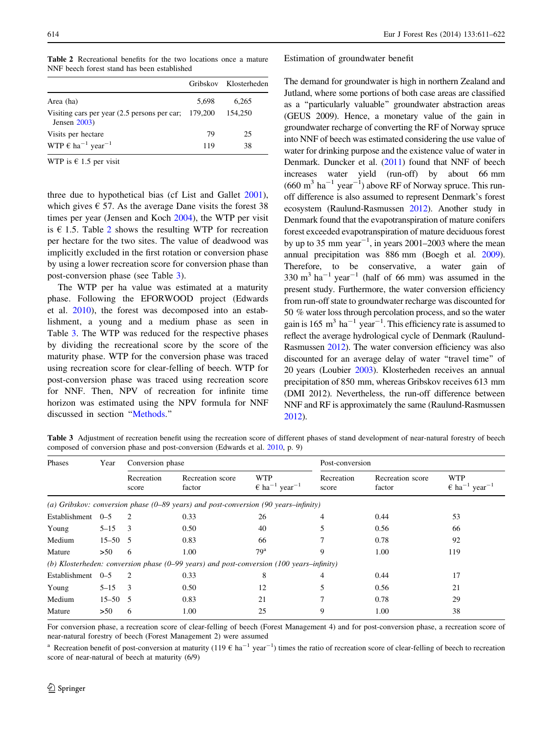|                                                                           |       | Gribskov Klosterheden |
|---------------------------------------------------------------------------|-------|-----------------------|
| Area (ha)                                                                 | 5.698 | 6.265                 |
| Visiting cars per year $(2.5$ persons per car; 179,200<br>Jensen $2003$ ) |       | 154,250               |
| Visits per hectare                                                        | 79    | 25                    |
| WTP $\epsilon$ ha <sup>-1</sup> year <sup>-1</sup>                        | 119   | 38                    |

WTP is  $\epsilon$  1.5 per visit

three due to hypothetical bias (cf List and Gallet [2001](#page-11-0)), which gives  $\epsilon$  57. As the average Dane visits the forest 38 times per year (Jensen and Koch [2004](#page-11-0)), the WTP per visit is  $\epsilon$  1.5. Table 2 shows the resulting WTP for recreation per hectare for the two sites. The value of deadwood was implicitly excluded in the first rotation or conversion phase by using a lower recreation score for conversion phase than post-conversion phase (see Table 3).

The WTP per ha value was estimated at a maturity phase. Following the EFORWOOD project (Edwards et al. [2010](#page-11-0)), the forest was decomposed into an establishment, a young and a medium phase as seen in Table 3. The WTP was reduced for the respective phases by dividing the recreational score by the score of the maturity phase. WTP for the conversion phase was traced using recreation score for clear-felling of beech. WTP for post-conversion phase was traced using recreation score for NNF. Then, NPV of recreation for infinite time horizon was estimated using the NPV formula for NNF discussed in section ''[Methods.](#page-2-0)''

Estimation of groundwater benefit

The demand for groundwater is high in northern Zealand and Jutland, where some portions of both case areas are classified as a ''particularly valuable'' groundwater abstraction areas (GEUS 2009). Hence, a monetary value of the gain in groundwater recharge of converting the RF of Norway spruce into NNF of beech was estimated considering the use value of water for drinking purpose and the existence value of water in Denmark. Duncker et al. [\(2011](#page-11-0)) found that NNF of beech increases water yield (run-off) by about 66 mm  $(660 \text{ m}^3 \text{ ha}^{-1} \text{ year}^{-1})$  above RF of Norway spruce. This runoff difference is also assumed to represent Denmark's forest ecosystem (Raulund-Rasmussen [2012\)](#page-11-0). Another study in Denmark found that the evapotranspiration of mature conifers forest exceeded evapotranspiration of mature deciduous forest by up to 35 mm  $year^{-1}$ , in years 2001–2003 where the mean annual precipitation was 886 mm (Boegh et al. [2009\)](#page-11-0). Therefore, to be conservative, a water gain of  $330 \text{ m}^3 \text{ ha}^{-1} \text{ year}^{-1}$  (half of 66 mm) was assumed in the present study. Furthermore, the water conversion efficiency from run-off state to groundwater recharge was discounted for 50 % water loss through percolation process, and so the water gain is 165  $\text{m}^3$  ha<sup>-1</sup> year<sup>-1</sup>. This efficiency rate is assumed to reflect the average hydrological cycle of Denmark (Raulund-Rasmussen [2012](#page-11-0)). The water conversion efficiency was also discounted for an average delay of water ''travel time'' of 20 years (Loubier [2003\)](#page-11-0). Klosterheden receives an annual precipitation of 850 mm, whereas Gribskov receives 613 mm (DMI 2012). Nevertheless, the run-off difference between NNF and RF is approximately the same (Raulund-Rasmussen [2012\)](#page-11-0).

Table 3 Adjustment of recreation benefit using the recreation score of different phases of stand development of near-natural forestry of beech composed of conversion phase and post-conversion (Edwards et al. [2010,](#page-11-0) p. 9)

| Phases            | Year        | Conversion phase    |                                                                                                                |                                                              |                     | Post-conversion            |                                                              |  |  |
|-------------------|-------------|---------------------|----------------------------------------------------------------------------------------------------------------|--------------------------------------------------------------|---------------------|----------------------------|--------------------------------------------------------------|--|--|
|                   |             | Recreation<br>score | Recreation score<br>factor                                                                                     | <b>WTP</b><br>$\epsilon$ ha <sup>-1</sup> year <sup>-1</sup> | Recreation<br>score | Recreation score<br>factor | <b>WTP</b><br>$\epsilon$ ha <sup>-1</sup> year <sup>-1</sup> |  |  |
|                   |             |                     | (a) Gribskov: conversion phase $(0-89 \text{ years})$ and post-conversion $(90 \text{ years}-\text{infinity})$ |                                                              |                     |                            |                                                              |  |  |
| Establishment 0-5 |             | 2                   | 0.33                                                                                                           | 26                                                           | 4                   | 0.44                       | 53                                                           |  |  |
| Young             | $5 - 15$ 3  |                     | 0.50                                                                                                           | 40                                                           |                     | 0.56                       | 66                                                           |  |  |
| Medium            | $15 - 50$ 5 |                     | 0.83                                                                                                           | 66                                                           |                     | 0.78                       | 92                                                           |  |  |
| Mature            | >50         | -6                  | 1.00                                                                                                           | 79 <sup>a</sup>                                              | 9                   | 1.00                       | 119                                                          |  |  |
|                   |             |                     | (b) Klosterheden: conversion phase $(0-99 \text{ years})$ and post-conversion (100 years-infinity)             |                                                              |                     |                            |                                                              |  |  |
| Establishment 0-5 |             | -2                  | 0.33                                                                                                           | 8                                                            | 4                   | 0.44                       | 17                                                           |  |  |
| Young             | $5 - 15$    | -3                  | 0.50                                                                                                           | 12                                                           | 5                   | 0.56                       | 21                                                           |  |  |
| Medium            | $15 - 50$ 5 |                     | 0.83                                                                                                           | 21                                                           |                     | 0.78                       | 29                                                           |  |  |
| Mature            | >50         | 6                   | 1.00                                                                                                           | 25                                                           | 9                   | 1.00                       | 38                                                           |  |  |

For conversion phase, a recreation score of clear-felling of beech (Forest Management 4) and for post-conversion phase, a recreation score of near-natural forestry of beech (Forest Management 2) were assumed

<sup>a</sup> Recreation benefit of post-conversion at maturity (119  $\epsilon$  ha<sup>-1</sup> year<sup>-1</sup>) times the ratio of recreation score of clear-felling of beech to recreation score of near-natural of beech at maturity (6/9)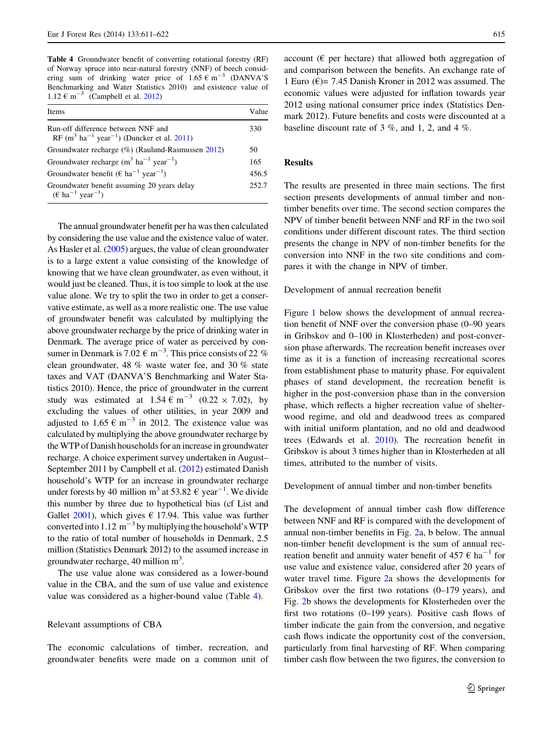Table 4 Groundwater benefit of converting rotational forestry (RF) of Norway spruce into near-natural forestry (NNF) of beech considering sum of drinking water price of  $1.65 \text{ } \in \text{ } m^{-3}$  (DANVA'S Benchmarking and Water Statistics 2010) and existence value of 1.12  $\epsilon$  m<sup>-3</sup> (Campbell et al. [2012\)](#page-11-0)

| Items                                                                                                                | Value |
|----------------------------------------------------------------------------------------------------------------------|-------|
| Run-off difference between NNF and<br>RF (m <sup>3</sup> ha <sup>-1</sup> year <sup>-1</sup> ) (Duncker et al. 2011) | 330   |
| Groundwater recharge (%) (Raulund-Rasmussen 2012)                                                                    | 50    |
| Groundwater recharge $(m^3 \text{ ha}^{-1} \text{ year}^{-1})$                                                       | 165   |
| Groundwater benefit ( $\epsilon$ ha <sup>-1</sup> year <sup>-1</sup> )                                               | 456.5 |
| Groundwater benefit assuming 20 years delay<br>$(\epsilon \text{ ha}^{-1} \text{ year}^{-1})$                        | 252.7 |

The annual groundwater benefit per ha was then calculated by considering the use value and the existence value of water. As Hasler et al. [\(2005\)](#page-11-0) argues, the value of clean groundwater is to a large extent a value consisting of the knowledge of knowing that we have clean groundwater, as even without, it would just be cleaned. Thus, it is too simple to look at the use value alone. We try to split the two in order to get a conservative estimate, as well as a more realistic one. The use value of groundwater benefit was calculated by multiplying the above groundwater recharge by the price of drinking water in Denmark. The average price of water as perceived by consumer in Denmark is 7.02  $\epsilon$  m<sup>-3</sup>. This price consists of 22 % clean groundwater, 48 % waste water fee, and 30 % state taxes and VAT (DANVA'S Benchmarking and Water Statistics 2010). Hence, the price of groundwater in the current study was estimated at  $1.54 \text{ } \in \text{m}^{-3}$  (0.22  $\times$  7.02), by excluding the values of other utilities, in year 2009 and adjusted to 1.65  $\epsilon$  m<sup>-3</sup> in 2012. The existence value was calculated by multiplying the above groundwater recharge by the WTP of Danish households for an increase in groundwater recharge. A choice experiment survey undertaken in August– September 2011 by Campbell et al. ([2012](#page-11-0)) estimated Danish household's WTP for an increase in groundwater recharge under forests by 40 million m<sup>3</sup> at 53.82  $\epsilon$  year<sup>-1</sup>. We divide this number by three due to hypothetical bias (cf List and Gallet [2001](#page-11-0)), which gives  $\epsilon$  17.94. This value was further converted into 1.12  $\text{m}^{-3}$  by multiplying the household's WTP to the ratio of total number of households in Denmark, 2.5 million (Statistics Denmark 2012) to the assumed increase in groundwater recharge, 40 million m<sup>3</sup>.

The use value alone was considered as a lower-bound value in the CBA, and the sum of use value and existence value was considered as a higher-bound value (Table 4).

Relevant assumptions of CBA

The economic calculations of timber, recreation, and groundwater benefits were made on a common unit of account ( $\epsilon$  per hectare) that allowed both aggregation of and comparison between the benefits. An exchange rate of 1 Euro ( $\epsilon$ )= 7.45 Danish Kroner in 2012 was assumed. The economic values were adjusted for inflation towards year 2012 using national consumer price index (Statistics Denmark 2012). Future benefits and costs were discounted at a baseline discount rate of 3 %, and 1, 2, and 4 %.

# Results

The results are presented in three main sections. The first section presents developments of annual timber and nontimber benefits over time. The second section compares the NPV of timber benefit between NNF and RF in the two soil conditions under different discount rates. The third section presents the change in NPV of non-timber benefits for the conversion into NNF in the two site conditions and compares it with the change in NPV of timber.

#### Development of annual recreation benefit

Figure [1](#page-5-0) below shows the development of annual recreation benefit of NNF over the conversion phase (0–90 years in Gribskov and 0–100 in Klosterheden) and post-conversion phase afterwards. The recreation benefit increases over time as it is a function of increasing recreational scores from establishment phase to maturity phase. For equivalent phases of stand development, the recreation benefit is higher in the post-conversion phase than in the conversion phase, which reflects a higher recreation value of shelterwood regime, and old and deadwood trees as compared with initial uniform plantation, and no old and deadwood trees (Edwards et al. [2010](#page-11-0)). The recreation benefit in Gribskov is about 3 times higher than in Klosterheden at all times, attributed to the number of visits.

Development of annual timber and non-timber benefits

The development of annual timber cash flow difference between NNF and RF is compared with the development of annual non-timber benefits in Fig. [2a](#page-5-0), b below. The annual non-timber benefit development is the sum of annual recreation benefit and annuity water benefit of 457  $\epsilon$  ha<sup>-1</sup> for use value and existence value, considered after 20 years of water travel time. Figure [2a](#page-5-0) shows the developments for Gribskov over the first two rotations (0–179 years), and Fig. [2](#page-5-0)b shows the developments for Klosterheden over the first two rotations (0–199 years). Positive cash flows of timber indicate the gain from the conversion, and negative cash flows indicate the opportunity cost of the conversion, particularly from final harvesting of RF. When comparing timber cash flow between the two figures, the conversion to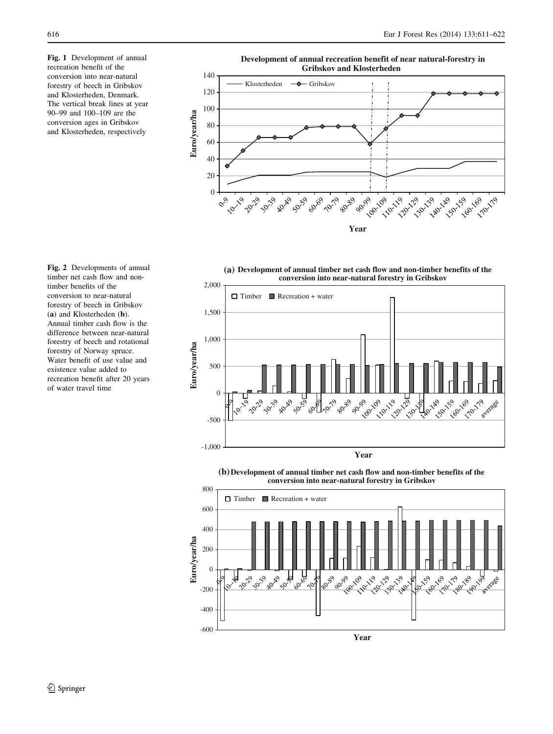<span id="page-5-0"></span>Fig. 1 Development of annual recreation benefit of the conversion into near-natural forestry of beech in Gribskov and Klosterheden, Denmark. The vertical break lines at year 90–99 and 100–109 are the conversion ages in Gribskov and Klosterheden, respectively

Fig. 2 Developments of annual timber net cash flow and nontimber benefits of the conversion to near-natural forestry of beech in Gribskov (a) and Klosterheden (b). Annual timber cash flow is the difference between near-natural forestry of beech and rotational forestry of Norway spruce. Water benefit of use value and existence value added to recreation benefit after 20 years of water travel time

**Gribskov and Klosterheden**  140 Klosterheden  $\rightarrow$  Gribskov 120 100 Euro/year/ha **Euro/year/ha** 80 60 40 20 0 **PO215 1.50-1.59** 59-169 170-179 **2020 1903 1919**  $\sqrt{\frac{1}{6}}$ **PO** 69 100:19 **140-149**  $\sqrt{\frac{6}{}}$ 10.19 30.39 A.018 110-119 120129 1301.19 **Year**

**Development of annual recreation benefit of near natural-forestry in** 





**Development of annual timber net cash flow and non-timber benefits of the (b) conversion into near-natural forestry in Gribskov**

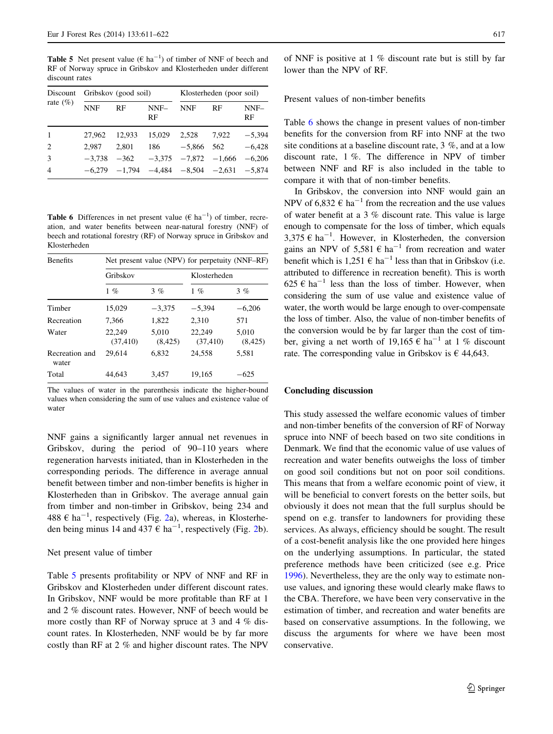<span id="page-6-0"></span>**Table 5** Net present value ( $\epsilon$  ha<sup>-1</sup>) of timber of NNF of beech and RF of Norway spruce in Gribskov and Klosterheden under different discount rates

| Discount<br>rate $(\%)$ |        | Gribskov (good soil) |            | Klosterheden (poor soil)                              |       |              |
|-------------------------|--------|----------------------|------------|-------------------------------------------------------|-------|--------------|
|                         | NNF    | RF                   | NNF-<br>RF | <b>NNF</b>                                            | RF    | $NNF-$<br>RF |
| $\overline{1}$          | 27.962 | 12.933               | 15,029     | 2,528                                                 | 7.922 | $-5,394$     |
| $\overline{2}$          | 2.987  | 2.801                | 186        | $-5,866$ 562                                          |       | $-6,428$     |
| 3                       |        | $-3.738 - 362$       |            | $-3,375$ $-7,872$ $-1,666$                            |       | $-6,206$     |
| $\overline{4}$          |        |                      |            | $-6,279$ $-1,794$ $-4,484$ $-8,504$ $-2,631$ $-5,874$ |       |              |

**Table 6** Differences in net present value ( $\epsilon$  ha<sup>-1</sup>) of timber, recreation, and water benefits between near-natural forestry (NNF) of beech and rotational forestry (RF) of Norway spruce in Gribskov and Klosterheden

| <b>Benefits</b>         | Net present value (NPV) for perpetuity (NNF–RF) |                   |                     |                   |  |  |  |  |  |
|-------------------------|-------------------------------------------------|-------------------|---------------------|-------------------|--|--|--|--|--|
|                         | Gribskov                                        |                   | Klosterheden        |                   |  |  |  |  |  |
|                         | $1 \%$                                          | $3\%$             | $1 \%$              | $3 \%$            |  |  |  |  |  |
| Timber                  | 15.029                                          | $-3.375$          | $-5.394$            | $-6.206$          |  |  |  |  |  |
| Recreation              | 7.366                                           | 1.822             | 2.310               | 571               |  |  |  |  |  |
| Water                   | 22.249<br>(37, 410)                             | 5.010<br>(8, 425) | 22.249<br>(37, 410) | 5.010<br>(8, 425) |  |  |  |  |  |
| Recreation and<br>water | 29.614                                          | 6.832             | 24.558              | 5.581             |  |  |  |  |  |
| Total                   | 44.643                                          | 3.457             | 19.165              | -625              |  |  |  |  |  |

The values of water in the parenthesis indicate the higher-bound values when considering the sum of use values and existence value of water

NNF gains a significantly larger annual net revenues in Gribskov, during the period of 90–110 years where regeneration harvests initiated, than in Klosterheden in the corresponding periods. The difference in average annual benefit between timber and non-timber benefits is higher in Klosterheden than in Gribskov. The average annual gain from timber and non-timber in Gribskov, being 234 and 488  $\epsilon$  ha<sup>-1</sup>, respectively (Fig. [2](#page-5-0)a), whereas, in Klosterheden being minus 14 and 437  $\epsilon$  ha<sup>-1</sup>, respectively (Fig. [2](#page-5-0)b).

#### Net present value of timber

Table 5 presents profitability or NPV of NNF and RF in Gribskov and Klosterheden under different discount rates. In Gribskov, NNF would be more profitable than RF at 1 and 2 % discount rates. However, NNF of beech would be more costly than RF of Norway spruce at 3 and 4 % discount rates. In Klosterheden, NNF would be by far more costly than RF at 2 % and higher discount rates. The NPV of NNF is positive at 1 % discount rate but is still by far lower than the NPV of RF.

#### Present values of non-timber benefits

Table 6 shows the change in present values of non-timber benefits for the conversion from RF into NNF at the two site conditions at a baseline discount rate, 3 %, and at a low discount rate, 1 %. The difference in NPV of timber between NNF and RF is also included in the table to compare it with that of non-timber benefits.

In Gribskov, the conversion into NNF would gain an NPV of 6,832  $\epsilon$  ha<sup>-1</sup> from the recreation and the use values of water benefit at a 3 % discount rate. This value is large enough to compensate for the loss of timber, which equals 3,375  $\epsilon$  ha<sup>-1</sup>. However, in Klosterheden, the conversion gains an NPV of 5,581  $\epsilon$  ha<sup>-1</sup> from recreation and water benefit which is  $1.251 \in ha^{-1}$  less than that in Gribskov (i.e. attributed to difference in recreation benefit). This is worth  $625 \text{ } \in \text{ ha}^{-1}$  less than the loss of timber. However, when considering the sum of use value and existence value of water, the worth would be large enough to over-compensate the loss of timber. Also, the value of non-timber benefits of the conversion would be by far larger than the cost of timber, giving a net worth of 19,165  $\epsilon$  ha<sup>-1</sup> at 1 % discount rate. The corresponding value in Gribskov is  $\epsilon$  44,643.

#### Concluding discussion

This study assessed the welfare economic values of timber and non-timber benefits of the conversion of RF of Norway spruce into NNF of beech based on two site conditions in Denmark. We find that the economic value of use values of recreation and water benefits outweighs the loss of timber on good soil conditions but not on poor soil conditions. This means that from a welfare economic point of view, it will be beneficial to convert forests on the better soils, but obviously it does not mean that the full surplus should be spend on e.g. transfer to landowners for providing these services. As always, efficiency should be sought. The result of a cost-benefit analysis like the one provided here hinges on the underlying assumptions. In particular, the stated preference methods have been criticized (see e.g. Price [1996](#page-11-0)). Nevertheless, they are the only way to estimate nonuse values, and ignoring these would clearly make flaws to the CBA. Therefore, we have been very conservative in the estimation of timber, and recreation and water benefits are based on conservative assumptions. In the following, we discuss the arguments for where we have been most conservative.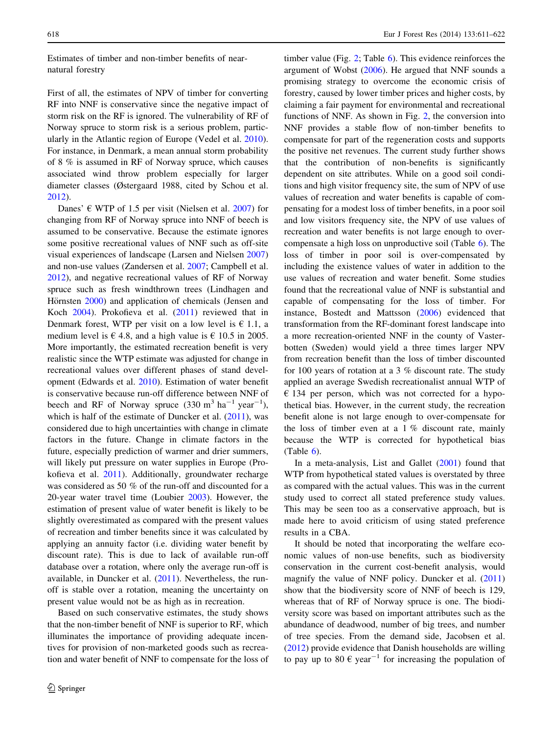Estimates of timber and non-timber benefits of nearnatural forestry

First of all, the estimates of NPV of timber for converting RF into NNF is conservative since the negative impact of storm risk on the RF is ignored. The vulnerability of RF of Norway spruce to storm risk is a serious problem, particularly in the Atlantic region of Europe (Vedel et al. [2010](#page-11-0)). For instance, in Denmark, a mean annual storm probability of 8 % is assumed in RF of Norway spruce, which causes associated wind throw problem especially for larger diameter classes (Østergaard 1988, cited by Schou et al. [2012\)](#page-11-0).

Danes'  $\in$  WTP of 1.5 per visit (Nielsen et al. [2007\)](#page-11-0) for changing from RF of Norway spruce into NNF of beech is assumed to be conservative. Because the estimate ignores some positive recreational values of NNF such as off-site visual experiences of landscape (Larsen and Nielsen [2007\)](#page-11-0) and non-use values (Zandersen et al. [2007;](#page-11-0) Campbell et al. [2012\)](#page-11-0), and negative recreational values of RF of Norway spruce such as fresh windthrown trees (Lindhagen and Hörnsten [2000](#page-11-0)) and application of chemicals (Jensen and Koch [2004](#page-11-0)). Prokofieva et al. ([2011\)](#page-11-0) reviewed that in Denmark forest, WTP per visit on a low level is  $\epsilon$  1.1, a medium level is  $\epsilon$  4.8, and a high value is  $\epsilon$  10.5 in 2005. More importantly, the estimated recreation benefit is very realistic since the WTP estimate was adjusted for change in recreational values over different phases of stand development (Edwards et al. [2010](#page-11-0)). Estimation of water benefit is conservative because run-off difference between NNF of beech and RF of Norway spruce  $(330 \text{ m}^3 \text{ ha}^{-1} \text{ year}^{-1})$ , which is half of the estimate of Duncker et al. ([2011\)](#page-11-0), was considered due to high uncertainties with change in climate factors in the future. Change in climate factors in the future, especially prediction of warmer and drier summers, will likely put pressure on water supplies in Europe (Prokofieva et al. [2011](#page-11-0)). Additionally, groundwater recharge was considered as 50 % of the run-off and discounted for a 20-year water travel time (Loubier [2003\)](#page-11-0). However, the estimation of present value of water benefit is likely to be slightly overestimated as compared with the present values of recreation and timber benefits since it was calculated by applying an annuity factor (i.e. dividing water benefit by discount rate). This is due to lack of available run-off database over a rotation, where only the average run-off is available, in Duncker et al. ([2011\)](#page-11-0). Nevertheless, the runoff is stable over a rotation, meaning the uncertainty on present value would not be as high as in recreation.

Based on such conservative estimates, the study shows that the non-timber benefit of NNF is superior to RF, which illuminates the importance of providing adequate incentives for provision of non-marketed goods such as recreation and water benefit of NNF to compensate for the loss of

timber value (Fig. [2](#page-5-0); Table [6\)](#page-6-0). This evidence reinforces the argument of Wobst [\(2006\)](#page-11-0). He argued that NNF sounds a promising strategy to overcome the economic crisis of forestry, caused by lower timber prices and higher costs, by claiming a fair payment for environmental and recreational functions of NNF. As shown in Fig. [2,](#page-5-0) the conversion into NNF provides a stable flow of non-timber benefits to compensate for part of the regeneration costs and supports the positive net revenues. The current study further shows that the contribution of non-benefits is significantly dependent on site attributes. While on a good soil conditions and high visitor frequency site, the sum of NPV of use values of recreation and water benefits is capable of compensating for a modest loss of timber benefits, in a poor soil and low visitors frequency site, the NPV of use values of recreation and water benefits is not large enough to overcompensate a high loss on unproductive soil (Table [6](#page-6-0)). The loss of timber in poor soil is over-compensated by including the existence values of water in addition to the use values of recreation and water benefit. Some studies found that the recreational value of NNF is substantial and capable of compensating for the loss of timber. For instance, Bostedt and Mattsson [\(2006](#page-11-0)) evidenced that transformation from the RF-dominant forest landscape into a more recreation-oriented NNF in the county of Vasterbotten (Sweden) would yield a three times larger NPV from recreation benefit than the loss of timber discounted for 100 years of rotation at a 3 % discount rate. The study applied an average Swedish recreationalist annual WTP of  $\epsilon$  134 per person, which was not corrected for a hypothetical bias. However, in the current study, the recreation benefit alone is not large enough to over-compensate for the loss of timber even at a 1 % discount rate, mainly because the WTP is corrected for hypothetical bias  $(Table 6)$  $(Table 6)$ .

In a meta-analysis, List and Gallet [\(2001](#page-11-0)) found that WTP from hypothetical stated values is overstated by three as compared with the actual values. This was in the current study used to correct all stated preference study values. This may be seen too as a conservative approach, but is made here to avoid criticism of using stated preference results in a CBA.

It should be noted that incorporating the welfare economic values of non-use benefits, such as biodiversity conservation in the current cost-benefit analysis, would magnify the value of NNF policy. Duncker et al. ([2011\)](#page-11-0) show that the biodiversity score of NNF of beech is 129, whereas that of RF of Norway spruce is one. The biodiversity score was based on important attributes such as the abundance of deadwood, number of big trees, and number of tree species. From the demand side, Jacobsen et al. [\(2012](#page-11-0)) provide evidence that Danish households are willing to pay up to 80  $\epsilon$  year<sup>-1</sup> for increasing the population of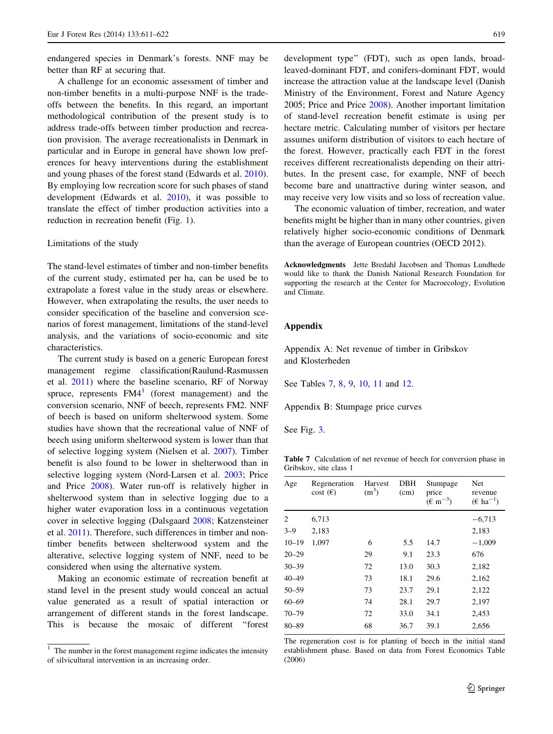<span id="page-8-0"></span>endangered species in Denmark's forests. NNF may be better than RF at securing that.

A challenge for an economic assessment of timber and non-timber benefits in a multi-purpose NNF is the tradeoffs between the benefits. In this regard, an important methodological contribution of the present study is to address trade-offs between timber production and recreation provision. The average recreationalists in Denmark in particular and in Europe in general have shown low preferences for heavy interventions during the establishment and young phases of the forest stand (Edwards et al. [2010](#page-11-0)). By employing low recreation score for such phases of stand development (Edwards et al. [2010\)](#page-11-0), it was possible to translate the effect of timber production activities into a reduction in recreation benefit (Fig. [1\)](#page-5-0).

#### Limitations of the study

The stand-level estimates of timber and non-timber benefits of the current study, estimated per ha, can be used be to extrapolate a forest value in the study areas or elsewhere. However, when extrapolating the results, the user needs to consider specification of the baseline and conversion scenarios of forest management, limitations of the stand-level analysis, and the variations of socio-economic and site characteristics.

The current study is based on a generic European forest management regime classification(Raulund-Rasmussen et al. [2011\)](#page-11-0) where the baseline scenario, RF of Norway spruce, represents  $F\text{M4}^1$  (forest management) and the conversion scenario, NNF of beech, represents FM2. NNF of beech is based on uniform shelterwood system. Some studies have shown that the recreational value of NNF of beech using uniform shelterwood system is lower than that of selective logging system (Nielsen et al. [2007](#page-11-0)). Timber benefit is also found to be lower in shelterwood than in selective logging system (Nord-Larsen et al. [2003](#page-11-0); Price and Price [2008\)](#page-11-0). Water run-off is relatively higher in shelterwood system than in selective logging due to a higher water evaporation loss in a continuous vegetation cover in selective logging (Dalsgaard [2008;](#page-11-0) Katzensteiner et al. [2011](#page-11-0)). Therefore, such differences in timber and nontimber benefits between shelterwood system and the alterative, selective logging system of NNF, need to be considered when using the alternative system.

Making an economic estimate of recreation benefit at stand level in the present study would conceal an actual value generated as a result of spatial interaction or arrangement of different stands in the forest landscape. This is because the mosaic of different ''forest development type'' (FDT), such as open lands, broadleaved-dominant FDT, and conifers-dominant FDT, would increase the attraction value at the landscape level (Danish Ministry of the Environment, Forest and Nature Agency 2005; Price and Price [2008\)](#page-11-0). Another important limitation of stand-level recreation benefit estimate is using per hectare metric. Calculating number of visitors per hectare assumes uniform distribution of visitors to each hectare of the forest. However, practically each FDT in the forest receives different recreationalists depending on their attributes. In the present case, for example, NNF of beech become bare and unattractive during winter season, and may receive very low visits and so loss of recreation value.

The economic valuation of timber, recreation, and water benefits might be higher than in many other countries, given relatively higher socio-economic conditions of Denmark than the average of European countries (OECD 2012).

Acknowledgments Jette Bredahl Jacobsen and Thomas Lundhede would like to thank the Danish National Research Foundation for supporting the research at the Center for Macroecology, Evolution and Climate.

## Appendix

Appendix A: Net revenue of timber in Gribskov and Klosterheden

See Tables 7, [8,](#page-9-0) [9,](#page-9-0) [10](#page-9-0), [11](#page-10-0) and [12](#page-10-0).

Appendix B: Stumpage price curves

See Fig. [3.](#page-10-0)

Table 7 Calculation of net revenue of beech for conversion phase in Gribskov, site class 1

| Age       | Regeneration<br>$cost(\epsilon)$ | Harvest<br>(m <sup>3</sup> ) | DBH<br>(cm) | Stumpage<br>price<br>$(\text{ } \in \text{ } m^{-3})$ | Net<br>revenue<br>$(\epsilon \text{ ha}^{-1})$ |
|-----------|----------------------------------|------------------------------|-------------|-------------------------------------------------------|------------------------------------------------|
| 2         | 6,713                            |                              |             |                                                       | $-6,713$                                       |
| $3 - 9$   | 2,183                            |                              |             |                                                       | 2,183                                          |
| $10 - 19$ | 1,097                            | 6                            | 5.5         | 14.7                                                  | $-1,009$                                       |
| $20 - 29$ |                                  | 29                           | 9.1         | 23.3                                                  | 676                                            |
| $30 - 39$ |                                  | 72                           | 13.0        | 30.3                                                  | 2,182                                          |
| $40 - 49$ |                                  | 73                           | 18.1        | 29.6                                                  | 2,162                                          |
| $50 - 59$ |                                  | 73                           | 23.7        | 29.1                                                  | 2,122                                          |
| $60 - 69$ |                                  | 74                           | 28.1        | 29.7                                                  | 2,197                                          |
| $70 - 79$ |                                  | 72                           | 33.0        | 34.1                                                  | 2,453                                          |
| $80 - 89$ |                                  | 68                           | 36.7        | 39.1                                                  | 2,656                                          |

The regeneration cost is for planting of beech in the initial stand establishment phase. Based on data from Forest Economics Table (2006)

The number in the forest management regime indicates the intensity of silvicultural intervention in an increasing order.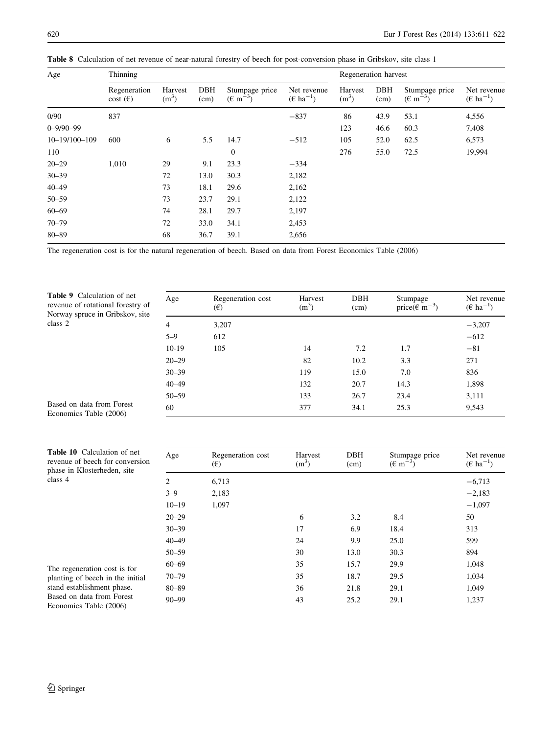| Age                 | Thinning                                 |                    |             |                                       |                                             |                              | Regeneration harvest |                                       |                                             |
|---------------------|------------------------------------------|--------------------|-------------|---------------------------------------|---------------------------------------------|------------------------------|----------------------|---------------------------------------|---------------------------------------------|
|                     | Regeneration<br>$\cos(t)$ ( $\epsilon$ ) | Harvest<br>$(m^3)$ | DBH<br>(cm) | Stumpage price<br>$(\text{E m}^{-3})$ | Net revenue<br>$(\epsilon \text{ ha}^{-1})$ | Harvest<br>(m <sup>3</sup> ) | DBH<br>(cm)          | Stumpage price<br>$(\text{E m}^{-3})$ | Net revenue<br>$(\epsilon \text{ ha}^{-1})$ |
| 0/90                | 837                                      |                    |             |                                       | $-837$                                      | 86                           | 43.9                 | 53.1                                  | 4,556                                       |
| $0 - 9/90 - 99$     |                                          |                    |             |                                       |                                             | 123                          | 46.6                 | 60.3                                  | 7,408                                       |
| $10 - 19/100 - 109$ | 600                                      | 6                  | 5.5         | 14.7                                  | $-512$                                      | 105                          | 52.0                 | 62.5                                  | 6,573                                       |
| 110                 |                                          |                    |             | $\boldsymbol{0}$                      |                                             | 276                          | 55.0                 | 72.5                                  | 19,994                                      |
| $20 - 29$           | 1,010                                    | 29                 | 9.1         | 23.3                                  | $-334$                                      |                              |                      |                                       |                                             |
| $30 - 39$           |                                          | 72                 | 13.0        | 30.3                                  | 2,182                                       |                              |                      |                                       |                                             |
| $40 - 49$           |                                          | 73                 | 18.1        | 29.6                                  | 2,162                                       |                              |                      |                                       |                                             |
| $50 - 59$           |                                          | 73                 | 23.7        | 29.1                                  | 2,122                                       |                              |                      |                                       |                                             |
| $60 - 69$           |                                          | 74                 | 28.1        | 29.7                                  | 2,197                                       |                              |                      |                                       |                                             |
| $70 - 79$           |                                          | 72                 | 33.0        | 34.1                                  | 2,453                                       |                              |                      |                                       |                                             |
| $80 - 89$           |                                          | 68                 | 36.7        | 39.1                                  | 2,656                                       |                              |                      |                                       |                                             |

<span id="page-9-0"></span>Table 8 Calculation of net revenue of near-natural forestry of beech for post-conversion phase in Gribskov, site class 1

The regeneration cost is for the natural regeneration of beech. Based on data from Forest Economics Table (2006)

Table 9 Calculation of net revenue of rotational forestry of Norway spruce in Gribskov, site class 2

| Age            | Regeneration cost<br>$(\epsilon)$ | Harvest<br>(m <sup>3</sup> ) | DBH<br>(cm) | Stumpage<br>price( $\epsilon$ m <sup>-3</sup> ) | Net revenue<br>$(\epsilon \text{ ha}^{-1})$ |
|----------------|-----------------------------------|------------------------------|-------------|-------------------------------------------------|---------------------------------------------|
| $\overline{4}$ | 3,207                             |                              |             |                                                 | $-3,207$                                    |
| $5 - 9$        | 612                               |                              |             |                                                 | $-612$                                      |
| $10-19$        | 105                               | 14                           | 7.2         | 1.7                                             | $-81$                                       |
| $20 - 29$      |                                   | 82                           | 10.2        | 3.3                                             | 271                                         |
| $30 - 39$      |                                   | 119                          | 15.0        | 7.0                                             | 836                                         |
| $40 - 49$      |                                   | 132                          | 20.7        | 14.3                                            | 1,898                                       |
| $50 - 59$      |                                   | 133                          | 26.7        | 23.4                                            | 3,111                                       |
| 60             |                                   | 377                          | 34.1        | 25.3                                            | 9,543                                       |

Based on data from Forest Economics Table (2006)

| <b>Table 10</b> Calculation of net<br>revenue of beech for conversion<br>phase in Klosterheden, site                  | Age       | Regeneration cost<br>$(\epsilon)$ | Harvest<br>$(m^3)$ | <b>DBH</b><br>(cm) | Stumpage price<br>$(\text{E m}^{-3})$ | Net revenue<br>$(\epsilon \text{ ha}^{-1})$ |
|-----------------------------------------------------------------------------------------------------------------------|-----------|-----------------------------------|--------------------|--------------------|---------------------------------------|---------------------------------------------|
| class 4                                                                                                               | 2         | 6,713                             |                    |                    |                                       | $-6,713$                                    |
|                                                                                                                       | $3 - 9$   | 2,183                             |                    |                    |                                       | $-2,183$                                    |
|                                                                                                                       | $10 - 19$ | 1,097                             |                    |                    |                                       | $-1,097$                                    |
|                                                                                                                       | $20 - 29$ |                                   | 6                  | 3.2                | 8.4                                   | 50                                          |
|                                                                                                                       | $30 - 39$ |                                   | 17                 | 6.9                | 18.4                                  | 313                                         |
|                                                                                                                       | $40 - 49$ |                                   | 24                 | 9.9                | 25.0                                  | 599                                         |
|                                                                                                                       | $50 - 59$ |                                   | 30                 | 13.0               | 30.3                                  | 894                                         |
| The regeneration cost is for                                                                                          | $60 - 69$ |                                   | 35                 | 15.7               | 29.9                                  | 1,048                                       |
| planting of beech in the initial<br>stand establishment phase.<br>Based on data from Forest<br>Economics Table (2006) | $70 - 79$ |                                   | 35                 | 18.7               | 29.5                                  | 1,034                                       |
|                                                                                                                       | $80 - 89$ |                                   | 36                 | 21.8               | 29.1                                  | 1,049                                       |
|                                                                                                                       | $90 - 99$ |                                   | 43                 | 25.2               | 29.1                                  | 1,237                                       |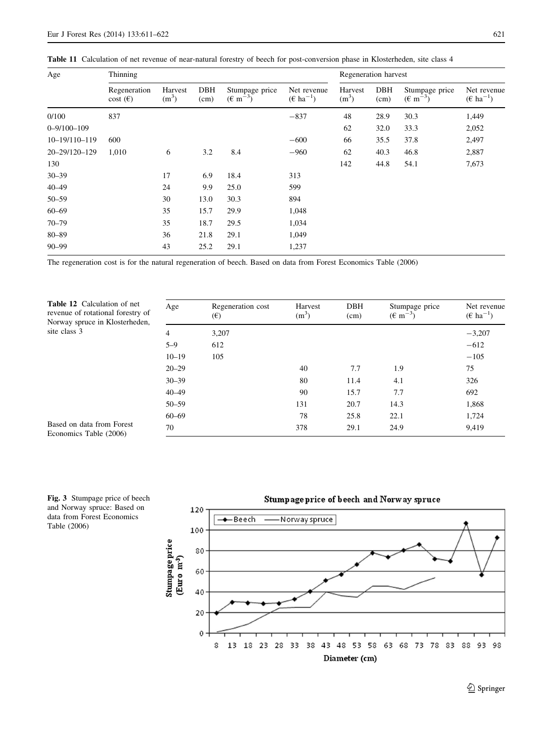| Age               | Thinning                                 |                              |             |                                                |                                             |                              | Regeneration harvest |                                                |                                             |
|-------------------|------------------------------------------|------------------------------|-------------|------------------------------------------------|---------------------------------------------|------------------------------|----------------------|------------------------------------------------|---------------------------------------------|
|                   | Regeneration<br>$\cos(t)$ ( $\epsilon$ ) | Harvest<br>(m <sup>3</sup> ) | DBH<br>(cm) | Stumpage price<br>$(\text{ }6 \text{ m}^{-3})$ | Net revenue<br>$(\epsilon \text{ ha}^{-1})$ | Harvest<br>(m <sup>3</sup> ) | DBH<br>(cm)          | Stumpage price<br>$(\text{ }6 \text{ m}^{-3})$ | Net revenue<br>$(\epsilon \text{ ha}^{-1})$ |
| 0/100             | 837                                      |                              |             |                                                | $-837$                                      | 48                           | 28.9                 | 30.3                                           | 1,449                                       |
| $0 - 9/100 - 109$ |                                          |                              |             |                                                |                                             | 62                           | 32.0                 | 33.3                                           | 2,052                                       |
| 10-19/110-119     | 600                                      |                              |             |                                                | $-600$                                      | 66                           | 35.5                 | 37.8                                           | 2,497                                       |
| 20-29/120-129     | 1,010                                    | 6                            | 3.2         | 8.4                                            | $-960$                                      | 62                           | 40.3                 | 46.8                                           | 2,887                                       |
| 130               |                                          |                              |             |                                                |                                             | 142                          | 44.8                 | 54.1                                           | 7,673                                       |
| $30 - 39$         |                                          | 17                           | 6.9         | 18.4                                           | 313                                         |                              |                      |                                                |                                             |
| $40 - 49$         |                                          | 24                           | 9.9         | 25.0                                           | 599                                         |                              |                      |                                                |                                             |
| $50 - 59$         |                                          | 30                           | 13.0        | 30.3                                           | 894                                         |                              |                      |                                                |                                             |
| $60 - 69$         |                                          | 35                           | 15.7        | 29.9                                           | 1,048                                       |                              |                      |                                                |                                             |
| $70 - 79$         |                                          | 35                           | 18.7        | 29.5                                           | 1,034                                       |                              |                      |                                                |                                             |
| $80 - 89$         |                                          | 36                           | 21.8        | 29.1                                           | 1,049                                       |                              |                      |                                                |                                             |
| $90 - 99$         |                                          | 43                           | 25.2        | 29.1                                           | 1,237                                       |                              |                      |                                                |                                             |

<span id="page-10-0"></span>Table 11 Calculation of net revenue of near-natural forestry of beech for post-conversion phase in Klosterheden, site class 4

The regeneration cost is for the natural regeneration of beech. Based on data from Forest Economics Table (2006)

Table 12 Calculation of net revenue of rotational forestry of Norway spruce in Klosterheden, site class 3

| Age       | Regeneration cost<br>$(\epsilon)$ | Harvest<br>$(m^3)$ | <b>DBH</b><br>(cm) | Stumpage price<br>$(\text{E m}^{-3})$ | Net revenue<br>$(\epsilon \text{ ha}^{-1})$ |
|-----------|-----------------------------------|--------------------|--------------------|---------------------------------------|---------------------------------------------|
| 4         | 3,207                             |                    |                    |                                       | $-3,207$                                    |
| $5 - 9$   | 612                               |                    |                    |                                       | $-612$                                      |
| $10 - 19$ | 105                               |                    |                    |                                       | $-105$                                      |
| $20 - 29$ |                                   | 40                 | 7.7                | 1.9                                   | 75                                          |
| $30 - 39$ |                                   | 80                 | 11.4               | 4.1                                   | 326                                         |
| 40-49     |                                   | 90                 | 15.7               | 7.7                                   | 692                                         |
| 50-59     |                                   | 131                | 20.7               | 14.3                                  | 1,868                                       |
| $60 - 69$ |                                   | 78                 | 25.8               | 22.1                                  | 1,724                                       |
| 70        |                                   | 378                | 29.1               | 24.9                                  | 9,419                                       |

Based on data from Forest Economics Table (2006)

Fig. 3 Stumpage price of beech and Norway spruce: Based on data from Forest Economics Table (2006)